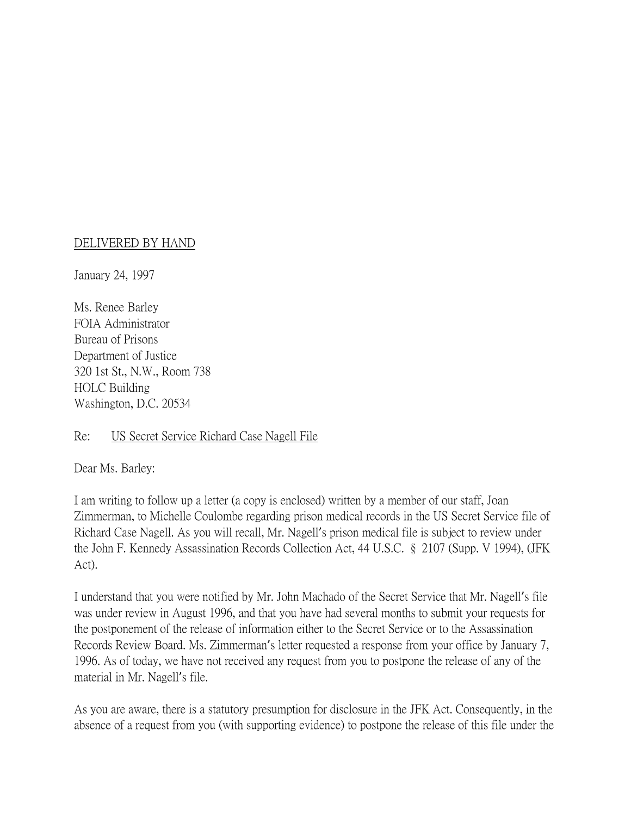## DELIVERED BY HAND

January 24, 1997

Ms. Renee Barley FOIA Administrator Bureau of Prisons Department of Justice 320 1st St., N.W., Room 738 HOLC Building Washington, D.C. 20534

## Re: US Secret Service Richard Case Nagell File

Dear Ms. Barley:

I am writing to follow up a letter (a copy is enclosed) written by a member of our staff, Joan Zimmerman, to Michelle Coulombe regarding prison medical records in the US Secret Service file of Richard Case Nagell. As you will recall, Mr. Nagell's prison medical file is subject to review under the John F. Kennedy Assassination Records Collection Act, 44 U.S.C. § 2107 (Supp. V 1994), (JFK Act).

I understand that you were notified by Mr. John Machado of the Secret Service that Mr. Nagell's file was under review in August 1996, and that you have had several months to submit your requests for the postponement of the release of information either to the Secret Service or to the Assassination Records Review Board. Ms. Zimmerman's letter requested a response from your office by January 7, 1996. As of today, we have not received any request from you to postpone the release of any of the material in Mr. Nagell's file.

As you are aware, there is a statutory presumption for disclosure in the JFK Act. Consequently, in the absence of a request from you (with supporting evidence) to postpone the release of this file under the